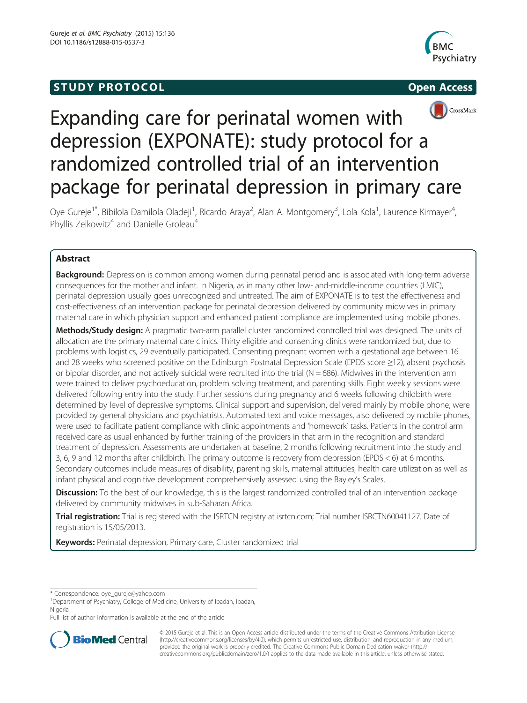# **STUDY PROTOCOL CONSUMING THE STUDY PROTOCOL**







# Expanding care for perinatal women with depression (EXPONATE): study protocol for a randomized controlled trial of an intervention package for perinatal depression in primary care

Oye Gureje<sup>1\*</sup>, Bibilola Damilola Oladeji<sup>1</sup>, Ricardo Araya<sup>2</sup>, Alan A. Montgomery<sup>3</sup>, Lola Kola<sup>1</sup>, Laurence Kirmayer<sup>4</sup> , Phyllis Zelkowitz<sup>4</sup> and Danielle Groleau<sup>4</sup>

# Abstract

Background: Depression is common among women during perinatal period and is associated with long-term adverse consequences for the mother and infant. In Nigeria, as in many other low- and-middle-income countries (LMIC), perinatal depression usually goes unrecognized and untreated. The aim of EXPONATE is to test the effectiveness and cost-effectiveness of an intervention package for perinatal depression delivered by community midwives in primary maternal care in which physician support and enhanced patient compliance are implemented using mobile phones.

Methods/Study design: A pragmatic two-arm parallel cluster randomized controlled trial was designed. The units of allocation are the primary maternal care clinics. Thirty eligible and consenting clinics were randomized but, due to problems with logistics, 29 eventually participated. Consenting pregnant women with a gestational age between 16 and 28 weeks who screened positive on the Edinburgh Postnatal Depression Scale (EPDS score ≥12), absent psychosis or bipolar disorder, and not actively suicidal were recruited into the trial ( $N = 686$ ). Midwives in the intervention arm were trained to deliver psychoeducation, problem solving treatment, and parenting skills. Eight weekly sessions were delivered following entry into the study. Further sessions during pregnancy and 6 weeks following childbirth were determined by level of depressive symptoms. Clinical support and supervision, delivered mainly by mobile phone, were provided by general physicians and psychiatrists. Automated text and voice messages, also delivered by mobile phones, were used to facilitate patient compliance with clinic appointments and 'homework' tasks. Patients in the control arm received care as usual enhanced by further training of the providers in that arm in the recognition and standard treatment of depression. Assessments are undertaken at baseline, 2 months following recruitment into the study and 3, 6, 9 and 12 months after childbirth. The primary outcome is recovery from depression (EPDS < 6) at 6 months. Secondary outcomes include measures of disability, parenting skills, maternal attitudes, health care utilization as well as infant physical and cognitive development comprehensively assessed using the Bayley's Scales.

Discussion: To the best of our knowledge, this is the largest randomized controlled trial of an intervention package delivered by community midwives in sub-Saharan Africa.

Trial registration: Trial is registered with the ISRTCN registry at isrtcn.com; Trial number [ISRCTN60041127.](http://www.controlled-trials.com/ISRCTN60041127) Date of registration is 15/05/2013.

Keywords: Perinatal depression, Primary care, Cluster randomized trial

\* Correspondence: [oye\\_gureje@yahoo.com](mailto:oye_gureje@yahoo.com) <sup>1</sup>

<sup>1</sup>Department of Psychiatry, College of Medicine, University of Ibadan, Ibadan, Nigeria

Full list of author information is available at the end of the article



© 2015 Gureje et al. This is an Open Access article distributed under the terms of the Creative Commons Attribution License [\(http://creativecommons.org/licenses/by/4.0\)](http://creativecommons.org/licenses/by/4.0), which permits unrestricted use, distribution, and reproduction in any medium, provided the original work is properly credited. The Creative Commons Public Domain Dedication waiver [\(http://](http://creativecommons.org/publicdomain/zero/1.0/) [creativecommons.org/publicdomain/zero/1.0/\)](http://creativecommons.org/publicdomain/zero/1.0/) applies to the data made available in this article, unless otherwise stated.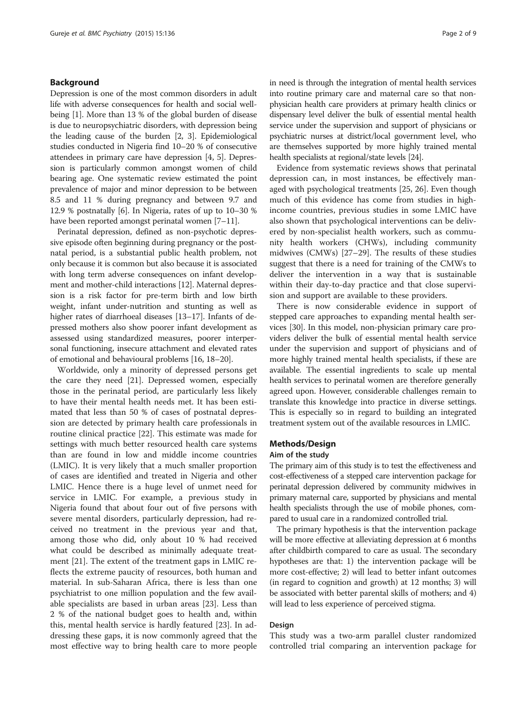# Background

Depression is one of the most common disorders in adult life with adverse consequences for health and social wellbeing [[1](#page-7-0)]. More than 13 % of the global burden of disease is due to neuropsychiatric disorders, with depression being the leading cause of the burden [[2](#page-8-0), [3](#page-8-0)]. Epidemiological studies conducted in Nigeria find 10–20 % of consecutive attendees in primary care have depression [\[4, 5](#page-8-0)]. Depression is particularly common amongst women of child bearing age. One systematic review estimated the point prevalence of major and minor depression to be between 8.5 and 11 % during pregnancy and between 9.7 and 12.9 % postnatally [\[6](#page-8-0)]. In Nigeria, rates of up to 10–30 % have been reported amongst perinatal women [\[7](#page-8-0)–[11](#page-8-0)].

Perinatal depression, defined as non-psychotic depressive episode often beginning during pregnancy or the postnatal period, is a substantial public health problem, not only because it is common but also because it is associated with long term adverse consequences on infant development and mother-child interactions [[12](#page-8-0)]. Maternal depression is a risk factor for pre-term birth and low birth weight, infant under-nutrition and stunting as well as higher rates of diarrhoeal diseases [\[13](#page-8-0)–[17](#page-8-0)]. Infants of depressed mothers also show poorer infant development as assessed using standardized measures, poorer interpersonal functioning, insecure attachment and elevated rates of emotional and behavioural problems [[16, 18](#page-8-0)–[20](#page-8-0)].

Worldwide, only a minority of depressed persons get the care they need [\[21\]](#page-8-0). Depressed women, especially those in the perinatal period, are particularly less likely to have their mental health needs met. It has been estimated that less than 50 % of cases of postnatal depression are detected by primary health care professionals in routine clinical practice [[22](#page-8-0)]. This estimate was made for settings with much better resourced health care systems than are found in low and middle income countries (LMIC). It is very likely that a much smaller proportion of cases are identified and treated in Nigeria and other LMIC. Hence there is a huge level of unmet need for service in LMIC. For example, a previous study in Nigeria found that about four out of five persons with severe mental disorders, particularly depression, had received no treatment in the previous year and that, among those who did, only about 10 % had received what could be described as minimally adequate treatment [\[21\]](#page-8-0). The extent of the treatment gaps in LMIC reflects the extreme paucity of resources, both human and material. In sub-Saharan Africa, there is less than one psychiatrist to one million population and the few available specialists are based in urban areas [[23\]](#page-8-0). Less than 2 % of the national budget goes to health and, within this, mental health service is hardly featured [[23\]](#page-8-0). In addressing these gaps, it is now commonly agreed that the most effective way to bring health care to more people in need is through the integration of mental health services into routine primary care and maternal care so that nonphysician health care providers at primary health clinics or dispensary level deliver the bulk of essential mental health service under the supervision and support of physicians or psychiatric nurses at district/local government level, who are themselves supported by more highly trained mental health specialists at regional/state levels [\[24\]](#page-8-0).

Evidence from systematic reviews shows that perinatal depression can, in most instances, be effectively managed with psychological treatments [\[25](#page-8-0), [26\]](#page-8-0). Even though much of this evidence has come from studies in highincome countries, previous studies in some LMIC have also shown that psychological interventions can be delivered by non-specialist health workers, such as community health workers (CHWs), including community midwives (CMWs) [\[27](#page-8-0)–[29\]](#page-8-0). The results of these studies suggest that there is a need for training of the CMWs to deliver the intervention in a way that is sustainable within their day-to-day practice and that close supervision and support are available to these providers.

There is now considerable evidence in support of stepped care approaches to expanding mental health services [\[30\]](#page-8-0). In this model, non-physician primary care providers deliver the bulk of essential mental health service under the supervision and support of physicians and of more highly trained mental health specialists, if these are available. The essential ingredients to scale up mental health services to perinatal women are therefore generally agreed upon. However, considerable challenges remain to translate this knowledge into practice in diverse settings. This is especially so in regard to building an integrated treatment system out of the available resources in LMIC.

# Methods/Design

### Aim of the study

The primary aim of this study is to test the effectiveness and cost-effectiveness of a stepped care intervention package for perinatal depression delivered by community midwives in primary maternal care, supported by physicians and mental health specialists through the use of mobile phones, compared to usual care in a randomized controlled trial.

The primary hypothesis is that the intervention package will be more effective at alleviating depression at 6 months after childbirth compared to care as usual. The secondary hypotheses are that: 1) the intervention package will be more cost-effective; 2) will lead to better infant outcomes (in regard to cognition and growth) at 12 months; 3) will be associated with better parental skills of mothers; and 4) will lead to less experience of perceived stigma.

## Design

This study was a two-arm parallel cluster randomized controlled trial comparing an intervention package for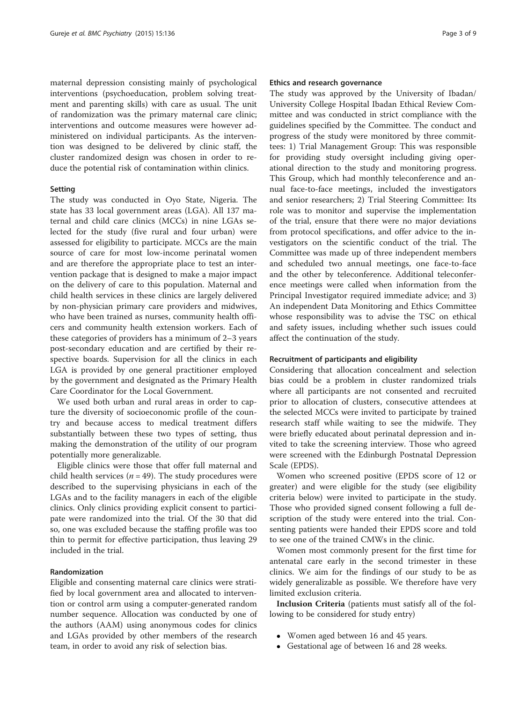maternal depression consisting mainly of psychological interventions (psychoeducation, problem solving treatment and parenting skills) with care as usual. The unit of randomization was the primary maternal care clinic; interventions and outcome measures were however administered on individual participants. As the intervention was designed to be delivered by clinic staff, the cluster randomized design was chosen in order to reduce the potential risk of contamination within clinics.

#### Setting

The study was conducted in Oyo State, Nigeria. The state has 33 local government areas (LGA). All 137 maternal and child care clinics (MCCs) in nine LGAs selected for the study (five rural and four urban) were assessed for eligibility to participate. MCCs are the main source of care for most low-income perinatal women and are therefore the appropriate place to test an intervention package that is designed to make a major impact on the delivery of care to this population. Maternal and child health services in these clinics are largely delivered by non-physician primary care providers and midwives, who have been trained as nurses, community health officers and community health extension workers. Each of these categories of providers has a minimum of 2–3 years post-secondary education and are certified by their respective boards. Supervision for all the clinics in each LGA is provided by one general practitioner employed by the government and designated as the Primary Health Care Coordinator for the Local Government.

We used both urban and rural areas in order to capture the diversity of socioeconomic profile of the country and because access to medical treatment differs substantially between these two types of setting, thus making the demonstration of the utility of our program potentially more generalizable.

Eligible clinics were those that offer full maternal and child health services ( $n = 49$ ). The study procedures were described to the supervising physicians in each of the LGAs and to the facility managers in each of the eligible clinics. Only clinics providing explicit consent to participate were randomized into the trial. Of the 30 that did so, one was excluded because the staffing profile was too thin to permit for effective participation, thus leaving 29 included in the trial.

# Randomization

Eligible and consenting maternal care clinics were stratified by local government area and allocated to intervention or control arm using a computer-generated random number sequence. Allocation was conducted by one of the authors (AAM) using anonymous codes for clinics and LGAs provided by other members of the research team, in order to avoid any risk of selection bias.

#### Ethics and research governance

The study was approved by the University of Ibadan/ University College Hospital Ibadan Ethical Review Committee and was conducted in strict compliance with the guidelines specified by the Committee. The conduct and progress of the study were monitored by three committees: 1) Trial Management Group: This was responsible for providing study oversight including giving operational direction to the study and monitoring progress. This Group, which had monthly teleconference and annual face-to-face meetings, included the investigators and senior researchers; 2) Trial Steering Committee: Its role was to monitor and supervise the implementation of the trial, ensure that there were no major deviations from protocol specifications, and offer advice to the investigators on the scientific conduct of the trial. The Committee was made up of three independent members and scheduled two annual meetings, one face-to-face and the other by teleconference. Additional teleconference meetings were called when information from the Principal Investigator required immediate advice; and 3) An independent Data Monitoring and Ethics Committee whose responsibility was to advise the TSC on ethical and safety issues, including whether such issues could affect the continuation of the study.

# Recruitment of participants and eligibility

Considering that allocation concealment and selection bias could be a problem in cluster randomized trials where all participants are not consented and recruited prior to allocation of clusters, consecutive attendees at the selected MCCs were invited to participate by trained research staff while waiting to see the midwife. They were briefly educated about perinatal depression and invited to take the screening interview. Those who agreed were screened with the Edinburgh Postnatal Depression Scale (EPDS).

Women who screened positive (EPDS score of 12 or greater) and were eligible for the study (see eligibility criteria below) were invited to participate in the study. Those who provided signed consent following a full description of the study were entered into the trial. Consenting patients were handed their EPDS score and told to see one of the trained CMWs in the clinic.

Women most commonly present for the first time for antenatal care early in the second trimester in these clinics. We aim for the findings of our study to be as widely generalizable as possible. We therefore have very limited exclusion criteria.

Inclusion Criteria (patients must satisfy all of the following to be considered for study entry)

- Women aged between 16 and 45 years.
- Gestational age of between 16 and 28 weeks.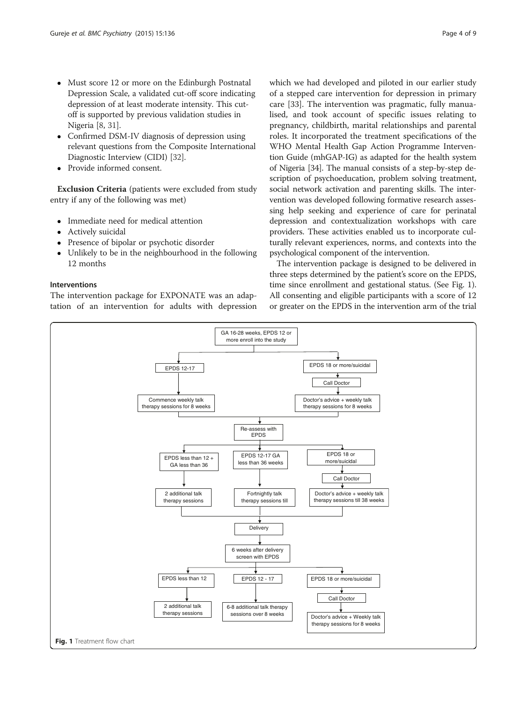- Must score 12 or more on the Edinburgh Postnatal Depression Scale, a validated cut-off score indicating depression of at least moderate intensity. This cutoff is supported by previous validation studies in Nigeria [\[8,](#page-8-0) [31\]](#page-8-0).
- Confirmed DSM-IV diagnosis of depression using relevant questions from the Composite International Diagnostic Interview (CIDI) [\[32](#page-8-0)].
- Provide informed consent.

Exclusion Criteria (patients were excluded from study entry if any of the following was met)

- Immediate need for medical attention
- Actively suicidal
- Presence of bipolar or psychotic disorder
- Unlikely to be in the neighbourhood in the following 12 months

# Interventions

The intervention package for EXPONATE was an adaptation of an intervention for adults with depression which we had developed and piloted in our earlier study of a stepped care intervention for depression in primary care [\[33](#page-8-0)]. The intervention was pragmatic, fully manualised, and took account of specific issues relating to pregnancy, childbirth, marital relationships and parental roles. It incorporated the treatment specifications of the WHO Mental Health Gap Action Programme Intervention Guide (mhGAP-IG) as adapted for the health system of Nigeria [\[34\]](#page-8-0). The manual consists of a step-by-step description of psychoeducation, problem solving treatment, social network activation and parenting skills. The intervention was developed following formative research assessing help seeking and experience of care for perinatal depression and contextualization workshops with care providers. These activities enabled us to incorporate culturally relevant experiences, norms, and contexts into the psychological component of the intervention.

The intervention package is designed to be delivered in three steps determined by the patient's score on the EPDS, time since enrollment and gestational status. (See Fig. 1). All consenting and eligible participants with a score of 12 or greater on the EPDS in the intervention arm of the trial

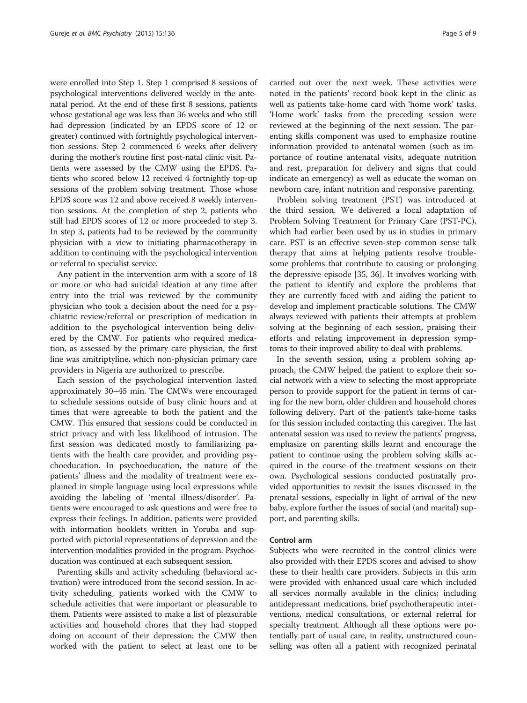were enrolled into Step 1. Step 1 comprised 8 sessions of psychological interventions delivered weekly in the antenatal period. At the end of these first 8 sessions, patients whose gestational age was less than 36 weeks and who still had depression (indicated by an EPDS score of 12 or greater) continued with fortnightly psychological intervention sessions. Step 2 commenced 6 weeks after delivery during the mother's routine first post-natal clinic visit. Patients were assessed by the CMW using the EPDS. Patients who scored below 12 received 4 fortnightly top-up sessions of the problem solving treatment. Those whose EPDS score was 12 and above received 8 weekly intervention sessions. At the completion of step 2, patients who still had EPDS scores of 12 or more proceeded to step 3. In step 3, patients had to be reviewed by the community physician with a view to initiating pharmacotherapy in addition to continuing with the psychological intervention or referral to specialist service.

Any patient in the intervention arm with a score of 18 or more or who had suicidal ideation at any time after entry into the trial was reviewed by the community physician who took a decision about the need for a psychiatric review/referral or prescription of medication in addition to the psychological intervention being delivered by the CMW. For patients who required medication, as assessed by the primary care physician, the first line was amitriptyline, which non-physician primary care providers in Nigeria are authorized to prescribe.

Each session of the psychological intervention lasted approximately 30–45 min. The CMWs were encouraged to schedule sessions outside of busy clinic hours and at times that were agreeable to both the patient and the CMW. This ensured that sessions could be conducted in strict privacy and with less likelihood of intrusion. The first session was dedicated mostly to familiarizing patients with the health care provider, and providing psychoeducation. In psychoeducation, the nature of the patients' illness and the modality of treatment were explained in simple language using local expressions while avoiding the labeling of 'mental illness/disorder'. Patients were encouraged to ask questions and were free to express their feelings. In addition, patients were provided with information booklets written in Yoruba and supported with pictorial representations of depression and the intervention modalities provided in the program. Psychoeducation was continued at each subsequent session.

Parenting skills and activity scheduling (behavioral activation) were introduced from the second session. In activity scheduling, patients worked with the CMW to schedule activities that were important or pleasurable to them. Patients were assisted to make a list of pleasurable activities and household chores that they had stopped doing on account of their depression; the CMW then worked with the patient to select at least one to be

carried out over the next week. These activities were noted in the patients' record book kept in the clinic as well as patients take-home card with 'home work' tasks. 'Home work' tasks from the preceding session were reviewed at the beginning of the next session. The parenting skills component was used to emphasize routine information provided to antenatal women (such as importance of routine antenatal visits, adequate nutrition and rest, preparation for delivery and signs that could indicate an emergency) as well as educate the woman on newborn care, infant nutrition and responsive parenting.

Problem solving treatment (PST) was introduced at the third session. We delivered a local adaptation of Problem Solving Treatment for Primary Care (PST-PC), which had earlier been used by us in studies in primary care. PST is an effective seven-step common sense talk therapy that aims at helping patients resolve troublesome problems that contribute to causing or prolonging the depressive episode [[35, 36\]](#page-8-0). It involves working with the patient to identify and explore the problems that they are currently faced with and aiding the patient to develop and implement practicable solutions. The CMW always reviewed with patients their attempts at problem solving at the beginning of each session, praising their efforts and relating improvement in depression symptoms to their improved ability to deal with problems.

In the seventh session, using a problem solving approach, the CMW helped the patient to explore their social network with a view to selecting the most appropriate person to provide support for the patient in terms of caring for the new born, older children and household chores following delivery. Part of the patient's take-home tasks for this session included contacting this caregiver. The last antenatal session was used to review the patients' progress, emphasize on parenting skills learnt and encourage the patient to continue using the problem solving skills acquired in the course of the treatment sessions on their own. Psychological sessions conducted postnatally provided opportunities to revisit the issues discussed in the prenatal sessions, especially in light of arrival of the new baby, explore further the issues of social (and marital) support, and parenting skills.

#### Control arm

Subjects who were recruited in the control clinics were also provided with their EPDS scores and advised to show these to their health care providers. Subjects in this arm were provided with enhanced usual care which included all services normally available in the clinics; including antidepressant medications, brief psychotherapeutic interventions, medical consultations, or external referral for specialty treatment. Although all these options were potentially part of usual care, in reality, unstructured counselling was often all a patient with recognized perinatal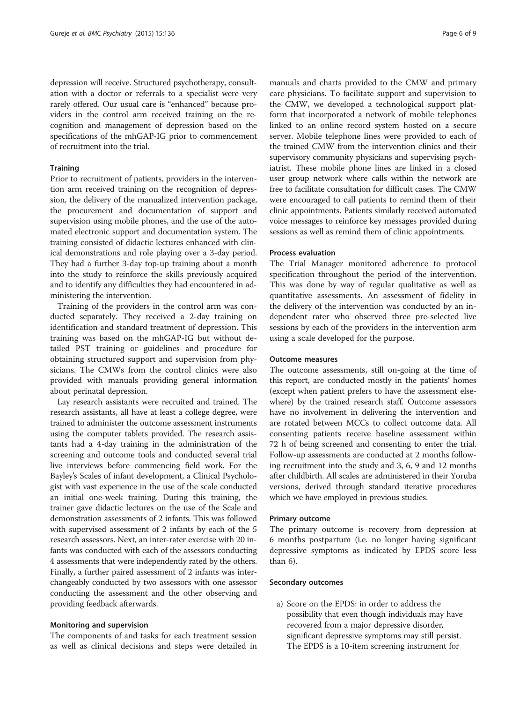depression will receive. Structured psychotherapy, consultation with a doctor or referrals to a specialist were very rarely offered. Our usual care is "enhanced" because providers in the control arm received training on the recognition and management of depression based on the specifications of the mhGAP-IG prior to commencement of recruitment into the trial.

### **Training**

Prior to recruitment of patients, providers in the intervention arm received training on the recognition of depression, the delivery of the manualized intervention package, the procurement and documentation of support and supervision using mobile phones, and the use of the automated electronic support and documentation system. The training consisted of didactic lectures enhanced with clinical demonstrations and role playing over a 3-day period. They had a further 3-day top-up training about a month into the study to reinforce the skills previously acquired and to identify any difficulties they had encountered in administering the intervention.

Training of the providers in the control arm was conducted separately. They received a 2-day training on identification and standard treatment of depression. This training was based on the mhGAP-IG but without detailed PST training or guidelines and procedure for obtaining structured support and supervision from physicians. The CMWs from the control clinics were also provided with manuals providing general information about perinatal depression.

Lay research assistants were recruited and trained. The research assistants, all have at least a college degree, were trained to administer the outcome assessment instruments using the computer tablets provided. The research assistants had a 4-day training in the administration of the screening and outcome tools and conducted several trial live interviews before commencing field work. For the Bayley's Scales of infant development, a Clinical Psychologist with vast experience in the use of the scale conducted an initial one-week training. During this training, the trainer gave didactic lectures on the use of the Scale and demonstration assessments of 2 infants. This was followed with supervised assessment of 2 infants by each of the 5 research assessors. Next, an inter-rater exercise with 20 infants was conducted with each of the assessors conducting 4 assessments that were independently rated by the others. Finally, a further paired assessment of 2 infants was interchangeably conducted by two assessors with one assessor conducting the assessment and the other observing and providing feedback afterwards.

### Monitoring and supervision

The components of and tasks for each treatment session as well as clinical decisions and steps were detailed in

manuals and charts provided to the CMW and primary care physicians. To facilitate support and supervision to the CMW, we developed a technological support platform that incorporated a network of mobile telephones linked to an online record system hosted on a secure server. Mobile telephone lines were provided to each of the trained CMW from the intervention clinics and their supervisory community physicians and supervising psychiatrist. These mobile phone lines are linked in a closed user group network where calls within the network are free to facilitate consultation for difficult cases. The CMW were encouraged to call patients to remind them of their clinic appointments. Patients similarly received automated voice messages to reinforce key messages provided during sessions as well as remind them of clinic appointments.

### Process evaluation

The Trial Manager monitored adherence to protocol specification throughout the period of the intervention. This was done by way of regular qualitative as well as quantitative assessments. An assessment of fidelity in the delivery of the intervention was conducted by an independent rater who observed three pre-selected live sessions by each of the providers in the intervention arm using a scale developed for the purpose.

# Outcome measures

The outcome assessments, still on-going at the time of this report, are conducted mostly in the patients' homes (except when patient prefers to have the assessment elsewhere) by the trained research staff. Outcome assessors have no involvement in delivering the intervention and are rotated between MCCs to collect outcome data. All consenting patients receive baseline assessment within 72 h of being screened and consenting to enter the trial. Follow-up assessments are conducted at 2 months following recruitment into the study and 3, 6, 9 and 12 months after childbirth. All scales are administered in their Yoruba versions, derived through standard iterative procedures which we have employed in previous studies.

#### Primary outcome

The primary outcome is recovery from depression at 6 months postpartum (i.e. no longer having significant depressive symptoms as indicated by EPDS score less than 6).

#### Secondary outcomes

a) Score on the EPDS: in order to address the possibility that even though individuals may have recovered from a major depressive disorder, significant depressive symptoms may still persist. The EPDS is a 10-item screening instrument for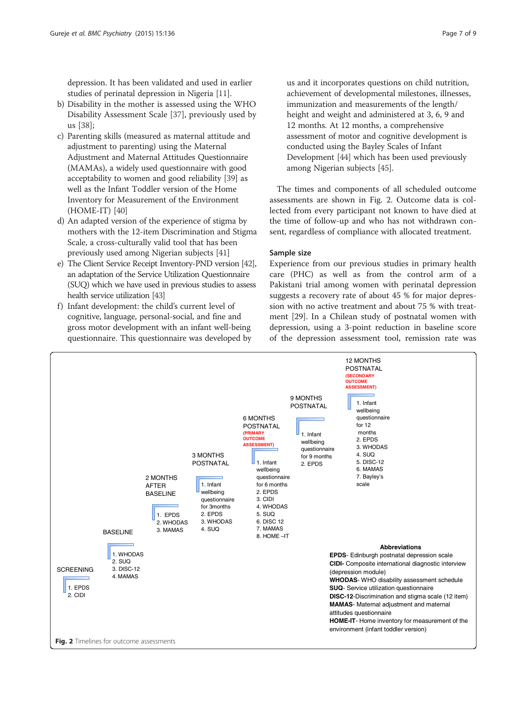depression. It has been validated and used in earlier studies of perinatal depression in Nigeria [\[11\]](#page-8-0).

- b) Disability in the mother is assessed using the WHO Disability Assessment Scale [[37](#page-8-0)], previously used by us [[38](#page-8-0)];
- c) Parenting skills (measured as maternal attitude and adjustment to parenting) using the Maternal Adjustment and Maternal Attitudes Questionnaire (MAMAs), a widely used questionnaire with good acceptability to women and good reliability [\[39\]](#page-8-0) as well as the Infant Toddler version of the Home Inventory for Measurement of the Environment (HOME-IT) [[40](#page-8-0)]
- d) An adapted version of the experience of stigma by mothers with the 12-item Discrimination and Stigma Scale, a cross-culturally valid tool that has been previously used among Nigerian subjects [\[41\]](#page-8-0)
- e) The Client Service Receipt Inventory-PND version [\[42](#page-8-0)], an adaptation of the Service Utilization Questionnaire (SUQ) which we have used in previous studies to assess health service utilization [[43\]](#page-8-0)
- f) Infant development: the child's current level of cognitive, language, personal-social, and fine and gross motor development with an infant well-being questionnaire. This questionnaire was developed by

us and it incorporates questions on child nutrition, achievement of developmental milestones, illnesses, immunization and measurements of the length/ height and weight and administered at 3, 6, 9 and 12 months. At 12 months, a comprehensive assessment of motor and cognitive development is conducted using the Bayley Scales of Infant Development [\[44\]](#page-8-0) which has been used previously among Nigerian subjects [\[45\]](#page-8-0).

The times and components of all scheduled outcome assessments are shown in Fig. 2. Outcome data is collected from every participant not known to have died at the time of follow-up and who has not withdrawn consent, regardless of compliance with allocated treatment.

# Sample size

Experience from our previous studies in primary health care (PHC) as well as from the control arm of a Pakistani trial among women with perinatal depression suggests a recovery rate of about 45 % for major depression with no active treatment and about 75 % with treatment [[29\]](#page-8-0). In a Chilean study of postnatal women with depression, using a 3-point reduction in baseline score of the depression assessment tool, remission rate was

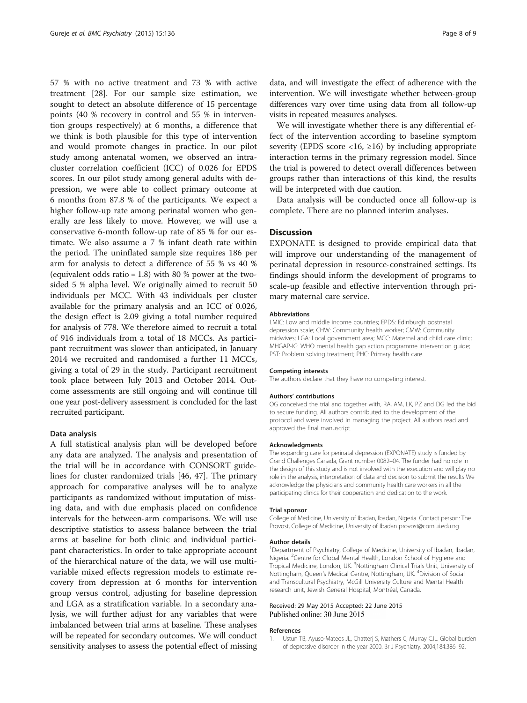<span id="page-7-0"></span>57 % with no active treatment and 73 % with active treatment [[28\]](#page-8-0). For our sample size estimation, we sought to detect an absolute difference of 15 percentage points (40 % recovery in control and 55 % in intervention groups respectively) at 6 months, a difference that we think is both plausible for this type of intervention and would promote changes in practice. In our pilot study among antenatal women, we observed an intracluster correlation coefficient (ICC) of 0.026 for EPDS scores. In our pilot study among general adults with depression, we were able to collect primary outcome at 6 months from 87.8 % of the participants. We expect a higher follow-up rate among perinatal women who generally are less likely to move. However, we will use a conservative 6-month follow-up rate of 85 % for our estimate. We also assume a 7 % infant death rate within the period. The uninflated sample size requires 186 per arm for analysis to detect a difference of 55 % vs 40 % (equivalent odds ratio  $= 1.8$ ) with 80 % power at the twosided 5 % alpha level. We originally aimed to recruit 50 individuals per MCC. With 43 individuals per cluster available for the primary analysis and an ICC of 0.026, the design effect is 2.09 giving a total number required for analysis of 778. We therefore aimed to recruit a total of 916 individuals from a total of 18 MCCs. As participant recruitment was slower than anticipated, in January 2014 we recruited and randomised a further 11 MCCs, giving a total of 29 in the study. Participant recruitment took place between July 2013 and October 2014. Outcome assessments are still ongoing and will continue till one year post-delivery assessment is concluded for the last recruited participant.

### Data analysis

A full statistical analysis plan will be developed before any data are analyzed. The analysis and presentation of the trial will be in accordance with CONSORT guidelines for cluster randomized trials [\[46](#page-8-0), [47\]](#page-8-0). The primary approach for comparative analyses will be to analyze participants as randomized without imputation of missing data, and with due emphasis placed on confidence intervals for the between-arm comparisons. We will use descriptive statistics to assess balance between the trial arms at baseline for both clinic and individual participant characteristics. In order to take appropriate account of the hierarchical nature of the data, we will use multivariable mixed effects regression models to estimate recovery from depression at 6 months for intervention group versus control, adjusting for baseline depression and LGA as a stratification variable. In a secondary analysis, we will further adjust for any variables that were imbalanced between trial arms at baseline. These analyses will be repeated for secondary outcomes. We will conduct sensitivity analyses to assess the potential effect of missing

data, and will investigate the effect of adherence with the intervention. We will investigate whether between-group differences vary over time using data from all follow-up visits in repeated measures analyses.

We will investigate whether there is any differential effect of the intervention according to baseline symptom severity (EPDS score <16,  $\geq$ 16) by including appropriate interaction terms in the primary regression model. Since the trial is powered to detect overall differences between groups rather than interactions of this kind, the results will be interpreted with due caution.

Data analysis will be conducted once all follow-up is complete. There are no planned interim analyses.

# **Discussion**

EXPONATE is designed to provide empirical data that will improve our understanding of the management of perinatal depression in resource-constrained settings. Its findings should inform the development of programs to scale-up feasible and effective intervention through primary maternal care service.

#### Abbreviations

LMIC: Low and middle income countries; EPDS: Edinburgh postnatal depression scale; CHW: Community health worker; CMW: Community midwives; LGA: Local government area; MCC: Maternal and child care clinic; MHGAP-IG: WHO mental health gap action programme intervention guide; PST: Problem solving treatment; PHC: Primary health care.

#### Competing interests

The authors declare that they have no competing interest.

#### Authors' contributions

OG conceived the trial and together with, RA, AM, LK, PZ and DG led the bid to secure funding. All authors contributed to the development of the protocol and were involved in managing the project. All authors read and approved the final manuscript.

#### Acknowledgments

The expanding care for perinatal depression (EXPONATE) study is funded by Grand Challenges Canada, Grant number 0082–04. The funder had no role in the design of this study and is not involved with the execution and will play no role in the analysis, interpretation of data and decision to submit the results We acknowledge the physicians and community health care workers in all the participating clinics for their cooperation and dedication to the work.

#### Trial sponsor

College of Medicine, University of Ibadan, Ibadan, Nigeria. Contact person: The Provost, College of Medicine, University of Ibadan provost@com.ui.edu.ng

#### Author details

<sup>1</sup>Department of Psychiatry, College of Medicine, University of Ibadan, Ibadan, Nigeria. <sup>2</sup>Centre for Global Mental Health, London School of Hygiene and Tropical Medicine, London, UK. <sup>3</sup>Nottingham Clinical Trials Unit, University of Nottingham, Queen's Medical Centre, Nottingham, UK. <sup>4</sup>Division of Social and Transcultural Psychiatry, McGill University Culture and Mental Health research unit, Jewish General Hospital, Montréal, Canada.

#### Received: 29 May 2015 Accepted: 22 June 2015 Published online: 30 June 2015

#### References

1. Ustun TB, Ayuso-Mateos JL, Chatterj S, Mathers C, Murray CJL. Global burden of depressive disorder in the year 2000. Br J Psychiatry. 2004;184:386–92.